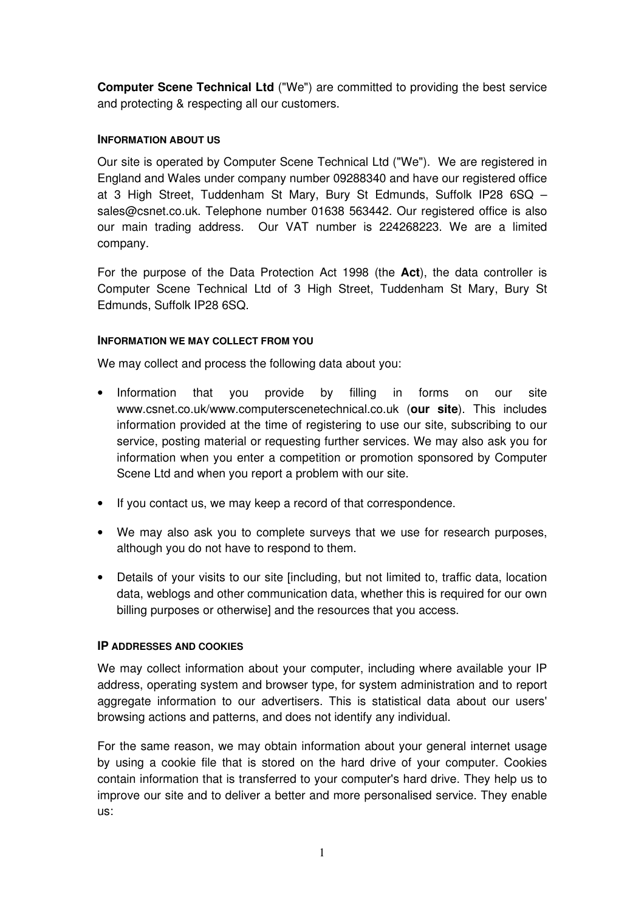**Computer Scene Technical Ltd** ("We") are committed to providing the best service and protecting & respecting all our customers.

# **INFORMATION ABOUT US**

Our site is operated by Computer Scene Technical Ltd ("We"). We are registered in England and Wales under company number 09288340 and have our registered office at 3 High Street, Tuddenham St Mary, Bury St Edmunds, Suffolk IP28 6SQ – sales@csnet.co.uk. Telephone number 01638 563442. Our registered office is also our main trading address. Our VAT number is 224268223. We are a limited company.

For the purpose of the Data Protection Act 1998 (the **Act**), the data controller is Computer Scene Technical Ltd of 3 High Street, Tuddenham St Mary, Bury St Edmunds, Suffolk IP28 6SQ.

# **INFORMATION WE MAY COLLECT FROM YOU**

We may collect and process the following data about you:

- Information that you provide by filling in forms on our site www.csnet.co.uk/www.computerscenetechnical.co.uk (**our site**). This includes information provided at the time of registering to use our site, subscribing to our service, posting material or requesting further services. We may also ask you for information when you enter a competition or promotion sponsored by Computer Scene Ltd and when you report a problem with our site.
- If you contact us, we may keep a record of that correspondence.
- We may also ask you to complete surveys that we use for research purposes, although you do not have to respond to them.
- Details of your visits to our site [including, but not limited to, traffic data, location data, weblogs and other communication data, whether this is required for our own billing purposes or otherwise] and the resources that you access.

# **IP ADDRESSES AND COOKIES**

We may collect information about your computer, including where available your IP address, operating system and browser type, for system administration and to report aggregate information to our advertisers. This is statistical data about our users' browsing actions and patterns, and does not identify any individual.

For the same reason, we may obtain information about your general internet usage by using a cookie file that is stored on the hard drive of your computer. Cookies contain information that is transferred to your computer's hard drive. They help us to improve our site and to deliver a better and more personalised service. They enable us: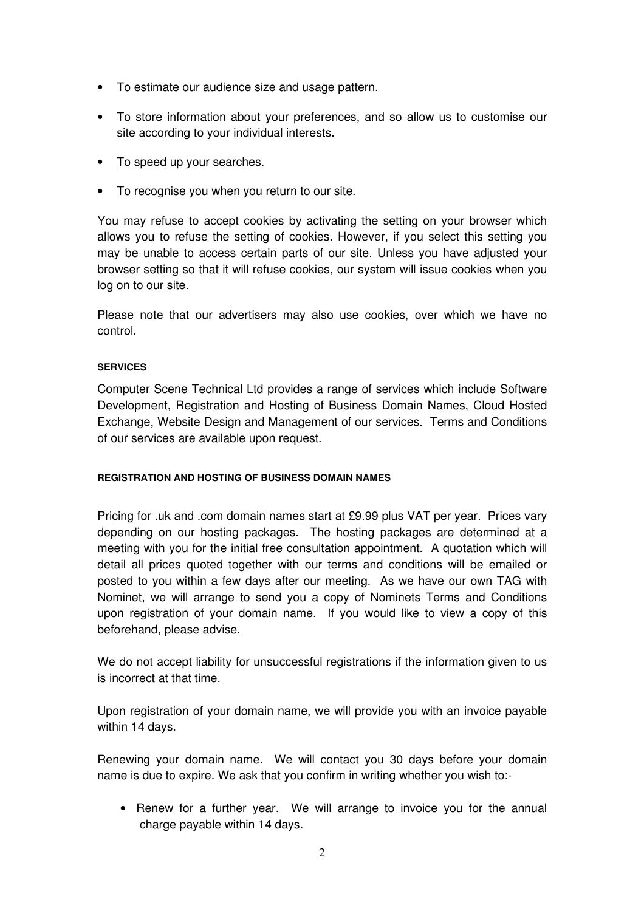- To estimate our audience size and usage pattern.
- To store information about your preferences, and so allow us to customise our site according to your individual interests.
- To speed up your searches.
- To recognise you when you return to our site.

You may refuse to accept cookies by activating the setting on your browser which allows you to refuse the setting of cookies. However, if you select this setting you may be unable to access certain parts of our site. Unless you have adjusted your browser setting so that it will refuse cookies, our system will issue cookies when you log on to our site.

Please note that our advertisers may also use cookies, over which we have no control.

# **SERVICES**

Computer Scene Technical Ltd provides a range of services which include Software Development, Registration and Hosting of Business Domain Names, Cloud Hosted Exchange, Website Design and Management of our services. Terms and Conditions of our services are available upon request.

# **REGISTRATION AND HOSTING OF BUSINESS DOMAIN NAMES**

Pricing for .uk and .com domain names start at £9.99 plus VAT per year. Prices vary depending on our hosting packages. The hosting packages are determined at a meeting with you for the initial free consultation appointment. A quotation which will detail all prices quoted together with our terms and conditions will be emailed or posted to you within a few days after our meeting. As we have our own TAG with Nominet, we will arrange to send you a copy of Nominets Terms and Conditions upon registration of your domain name. If you would like to view a copy of this beforehand, please advise.

We do not accept liability for unsuccessful registrations if the information given to us is incorrect at that time.

Upon registration of your domain name, we will provide you with an invoice payable within 14 days.

Renewing your domain name. We will contact you 30 days before your domain name is due to expire. We ask that you confirm in writing whether you wish to:-

• Renew for a further year. We will arrange to invoice you for the annual charge payable within 14 days.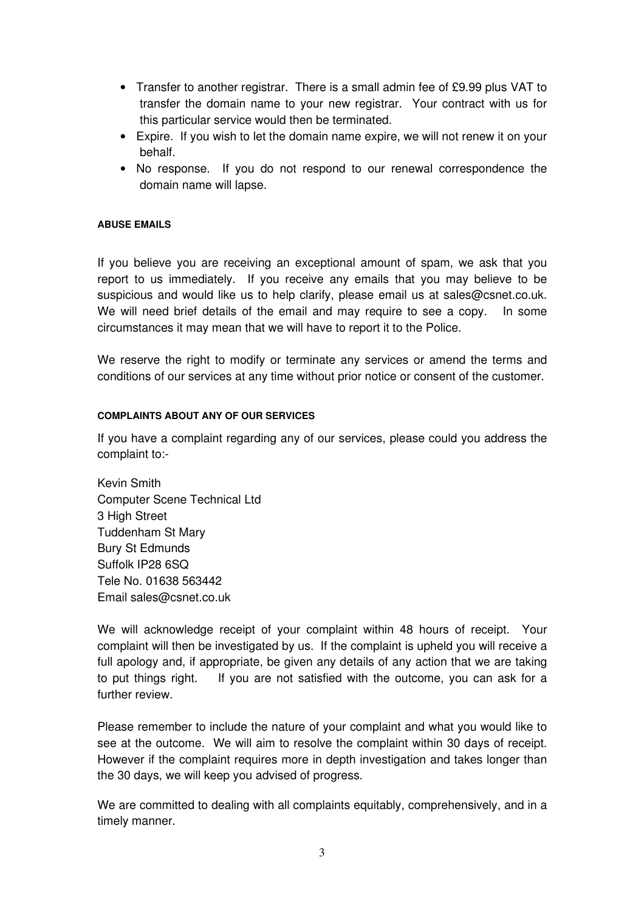- Transfer to another registrar. There is a small admin fee of £9.99 plus VAT to transfer the domain name to your new registrar. Your contract with us for this particular service would then be terminated.
- Expire. If you wish to let the domain name expire, we will not renew it on your behalf.
- No response. If you do not respond to our renewal correspondence the domain name will lapse.

# **ABUSE EMAILS**

If you believe you are receiving an exceptional amount of spam, we ask that you report to us immediately. If you receive any emails that you may believe to be suspicious and would like us to help clarify, please email us at sales@csnet.co.uk. We will need brief details of the email and may require to see a copy. In some circumstances it may mean that we will have to report it to the Police.

We reserve the right to modify or terminate any services or amend the terms and conditions of our services at any time without prior notice or consent of the customer.

### **COMPLAINTS ABOUT ANY OF OUR SERVICES**

If you have a complaint regarding any of our services, please could you address the complaint to:-

Kevin Smith Computer Scene Technical Ltd 3 High Street Tuddenham St Mary Bury St Edmunds Suffolk IP28 6SQ Tele No. 01638 563442 Email sales@csnet.co.uk

We will acknowledge receipt of your complaint within 48 hours of receipt. Your complaint will then be investigated by us. If the complaint is upheld you will receive a full apology and, if appropriate, be given any details of any action that we are taking to put things right. If you are not satisfied with the outcome, you can ask for a further review.

Please remember to include the nature of your complaint and what you would like to see at the outcome. We will aim to resolve the complaint within 30 days of receipt. However if the complaint requires more in depth investigation and takes longer than the 30 days, we will keep you advised of progress.

We are committed to dealing with all complaints equitably, comprehensively, and in a timely manner.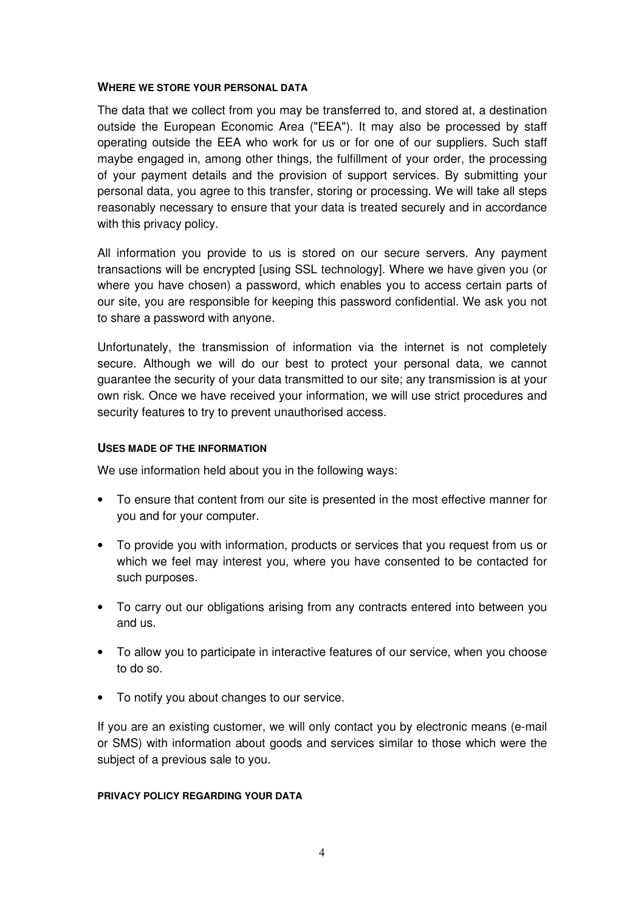### **WHERE WE STORE YOUR PERSONAL DATA**

The data that we collect from you may be transferred to, and stored at, a destination outside the European Economic Area ("EEA"). It may also be processed by staff operating outside the EEA who work for us or for one of our suppliers. Such staff maybe engaged in, among other things, the fulfillment of your order, the processing of your payment details and the provision of support services. By submitting your personal data, you agree to this transfer, storing or processing. We will take all steps reasonably necessary to ensure that your data is treated securely and in accordance with this privacy policy.

All information you provide to us is stored on our secure servers. Any payment transactions will be encrypted [using SSL technology]. Where we have given you (or where you have chosen) a password, which enables you to access certain parts of our site, you are responsible for keeping this password confidential. We ask you not to share a password with anyone.

Unfortunately, the transmission of information via the internet is not completely secure. Although we will do our best to protect your personal data, we cannot guarantee the security of your data transmitted to our site; any transmission is at your own risk. Once we have received your information, we will use strict procedures and security features to try to prevent unauthorised access.

### **USES MADE OF THE INFORMATION**

We use information held about you in the following ways:

- To ensure that content from our site is presented in the most effective manner for you and for your computer.
- To provide you with information, products or services that you request from us or which we feel may interest you, where you have consented to be contacted for such purposes.
- To carry out our obligations arising from any contracts entered into between you and us.
- To allow you to participate in interactive features of our service, when you choose to do so.
- To notify you about changes to our service.

If you are an existing customer, we will only contact you by electronic means (e-mail or SMS) with information about goods and services similar to those which were the subject of a previous sale to you.

### **PRIVACY POLICY REGARDING YOUR DATA**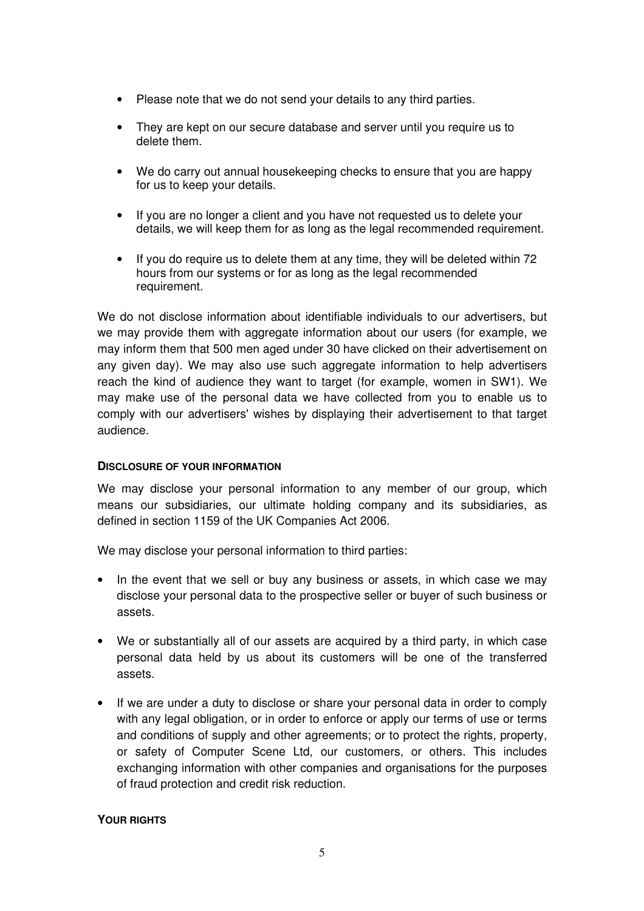- Please note that we do not send your details to any third parties.
- They are kept on our secure database and server until you require us to delete them.
- We do carry out annual housekeeping checks to ensure that you are happy for us to keep your details.
- If you are no longer a client and you have not requested us to delete your details, we will keep them for as long as the legal recommended requirement.
- If you do require us to delete them at any time, they will be deleted within 72 hours from our systems or for as long as the legal recommended requirement.

We do not disclose information about identifiable individuals to our advertisers, but we may provide them with aggregate information about our users (for example, we may inform them that 500 men aged under 30 have clicked on their advertisement on any given day). We may also use such aggregate information to help advertisers reach the kind of audience they want to target (for example, women in SW1). We may make use of the personal data we have collected from you to enable us to comply with our advertisers' wishes by displaying their advertisement to that target audience.

# **DISCLOSURE OF YOUR INFORMATION**

We may disclose your personal information to any member of our group, which means our subsidiaries, our ultimate holding company and its subsidiaries, as defined in section 1159 of the UK Companies Act 2006.

We may disclose your personal information to third parties:

- In the event that we sell or buy any business or assets, in which case we may disclose your personal data to the prospective seller or buyer of such business or assets.
- We or substantially all of our assets are acquired by a third party, in which case personal data held by us about its customers will be one of the transferred assets.
- If we are under a duty to disclose or share your personal data in order to comply with any legal obligation, or in order to enforce or apply our terms of use or terms and conditions of supply and other agreements; or to protect the rights, property, or safety of Computer Scene Ltd, our customers, or others. This includes exchanging information with other companies and organisations for the purposes of fraud protection and credit risk reduction.

# **YOUR RIGHTS**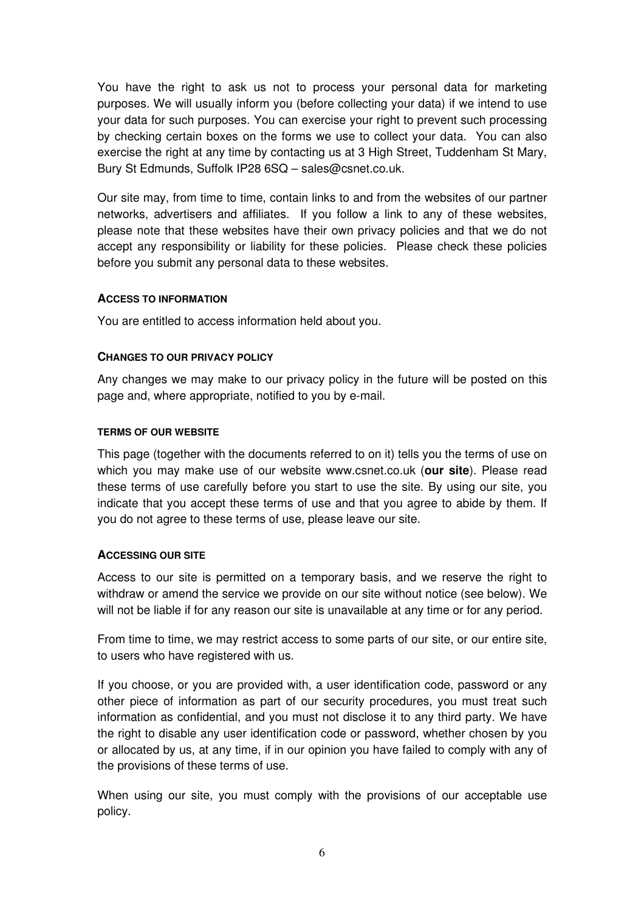You have the right to ask us not to process your personal data for marketing purposes. We will usually inform you (before collecting your data) if we intend to use your data for such purposes. You can exercise your right to prevent such processing by checking certain boxes on the forms we use to collect your data. You can also exercise the right at any time by contacting us at 3 High Street, Tuddenham St Mary, Bury St Edmunds, Suffolk IP28 6SQ – sales@csnet.co.uk.

Our site may, from time to time, contain links to and from the websites of our partner networks, advertisers and affiliates. If you follow a link to any of these websites, please note that these websites have their own privacy policies and that we do not accept any responsibility or liability for these policies. Please check these policies before you submit any personal data to these websites.

### **ACCESS TO INFORMATION**

You are entitled to access information held about you.

### **CHANGES TO OUR PRIVACY POLICY**

Any changes we may make to our privacy policy in the future will be posted on this page and, where appropriate, notified to you by e-mail.

### **TERMS OF OUR WEBSITE**

This page (together with the documents referred to on it) tells you the terms of use on which you may make use of our website www.csnet.co.uk (**our site**). Please read these terms of use carefully before you start to use the site. By using our site, you indicate that you accept these terms of use and that you agree to abide by them. If you do not agree to these terms of use, please leave our site.

### **ACCESSING OUR SITE**

Access to our site is permitted on a temporary basis, and we reserve the right to withdraw or amend the service we provide on our site without notice (see below). We will not be liable if for any reason our site is unavailable at any time or for any period.

From time to time, we may restrict access to some parts of our site, or our entire site, to users who have registered with us.

If you choose, or you are provided with, a user identification code, password or any other piece of information as part of our security procedures, you must treat such information as confidential, and you must not disclose it to any third party. We have the right to disable any user identification code or password, whether chosen by you or allocated by us, at any time, if in our opinion you have failed to comply with any of the provisions of these terms of use.

When using our site, you must comply with the provisions of our acceptable use policy.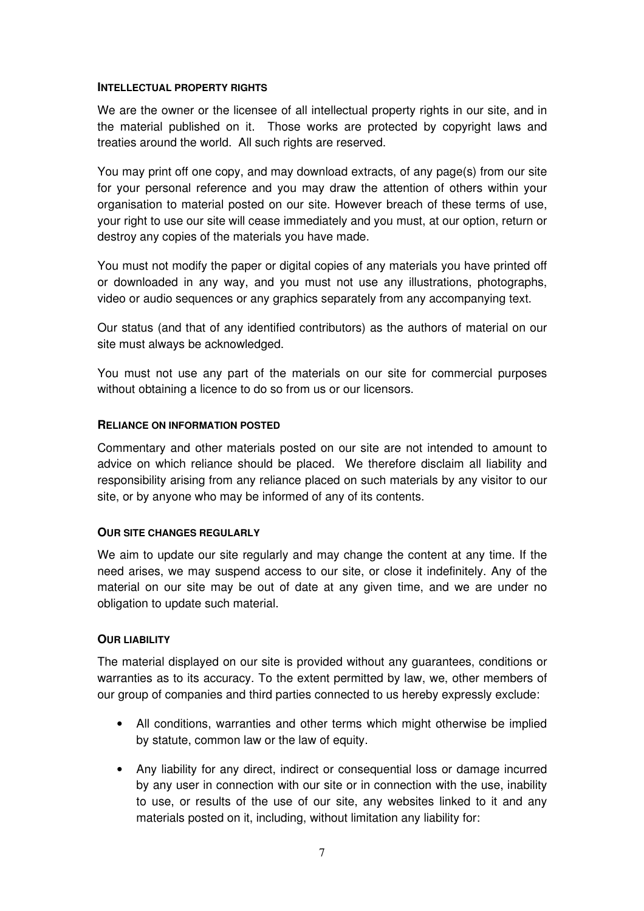### **INTELLECTUAL PROPERTY RIGHTS**

We are the owner or the licensee of all intellectual property rights in our site, and in the material published on it. Those works are protected by copyright laws and treaties around the world. All such rights are reserved.

You may print off one copy, and may download extracts, of any page(s) from our site for your personal reference and you may draw the attention of others within your organisation to material posted on our site. However breach of these terms of use, your right to use our site will cease immediately and you must, at our option, return or destroy any copies of the materials you have made.

You must not modify the paper or digital copies of any materials you have printed off or downloaded in any way, and you must not use any illustrations, photographs, video or audio sequences or any graphics separately from any accompanying text.

Our status (and that of any identified contributors) as the authors of material on our site must always be acknowledged.

You must not use any part of the materials on our site for commercial purposes without obtaining a licence to do so from us or our licensors.

# **RELIANCE ON INFORMATION POSTED**

Commentary and other materials posted on our site are not intended to amount to advice on which reliance should be placed. We therefore disclaim all liability and responsibility arising from any reliance placed on such materials by any visitor to our site, or by anyone who may be informed of any of its contents.

# **OUR SITE CHANGES REGULARLY**

We aim to update our site regularly and may change the content at any time. If the need arises, we may suspend access to our site, or close it indefinitely. Any of the material on our site may be out of date at any given time, and we are under no obligation to update such material.

# **OUR LIABILITY**

The material displayed on our site is provided without any guarantees, conditions or warranties as to its accuracy. To the extent permitted by law, we, other members of our group of companies and third parties connected to us hereby expressly exclude:

- All conditions, warranties and other terms which might otherwise be implied by statute, common law or the law of equity.
- Any liability for any direct, indirect or consequential loss or damage incurred by any user in connection with our site or in connection with the use, inability to use, or results of the use of our site, any websites linked to it and any materials posted on it, including, without limitation any liability for: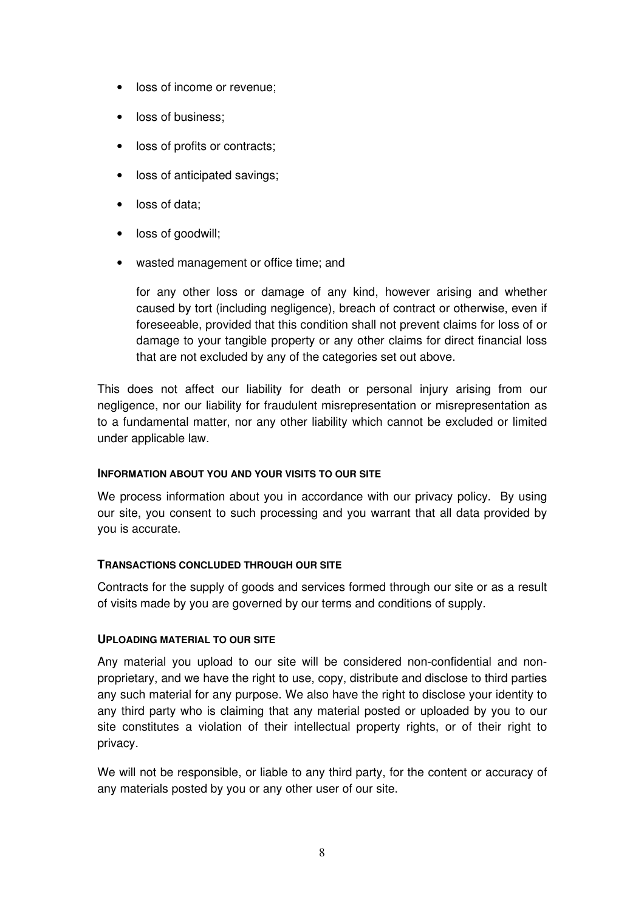- loss of income or revenue;
- loss of business;
- loss of profits or contracts;
- loss of anticipated savings;
- loss of data:
- loss of goodwill;
- wasted management or office time; and

for any other loss or damage of any kind, however arising and whether caused by tort (including negligence), breach of contract or otherwise, even if foreseeable, provided that this condition shall not prevent claims for loss of or damage to your tangible property or any other claims for direct financial loss that are not excluded by any of the categories set out above.

This does not affect our liability for death or personal injury arising from our negligence, nor our liability for fraudulent misrepresentation or misrepresentation as to a fundamental matter, nor any other liability which cannot be excluded or limited under applicable law.

# **INFORMATION ABOUT YOU AND YOUR VISITS TO OUR SITE**

We process information about you in accordance with our privacy policy. By using our site, you consent to such processing and you warrant that all data provided by you is accurate.

# **TRANSACTIONS CONCLUDED THROUGH OUR SITE**

Contracts for the supply of goods and services formed through our site or as a result of visits made by you are governed by our terms and conditions of supply.

### **UPLOADING MATERIAL TO OUR SITE**

Any material you upload to our site will be considered non-confidential and nonproprietary, and we have the right to use, copy, distribute and disclose to third parties any such material for any purpose. We also have the right to disclose your identity to any third party who is claiming that any material posted or uploaded by you to our site constitutes a violation of their intellectual property rights, or of their right to privacy.

We will not be responsible, or liable to any third party, for the content or accuracy of any materials posted by you or any other user of our site.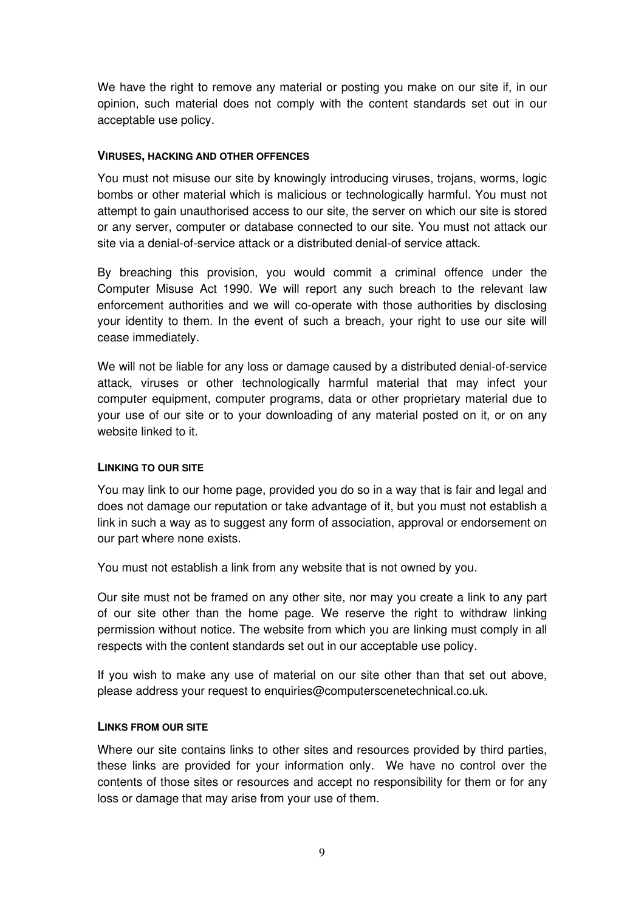We have the right to remove any material or posting you make on our site if, in our opinion, such material does not comply with the content standards set out in our acceptable use policy.

# **VIRUSES, HACKING AND OTHER OFFENCES**

You must not misuse our site by knowingly introducing viruses, trojans, worms, logic bombs or other material which is malicious or technologically harmful. You must not attempt to gain unauthorised access to our site, the server on which our site is stored or any server, computer or database connected to our site. You must not attack our site via a denial-of-service attack or a distributed denial-of service attack.

By breaching this provision, you would commit a criminal offence under the Computer Misuse Act 1990. We will report any such breach to the relevant law enforcement authorities and we will co-operate with those authorities by disclosing your identity to them. In the event of such a breach, your right to use our site will cease immediately.

We will not be liable for any loss or damage caused by a distributed denial-of-service attack, viruses or other technologically harmful material that may infect your computer equipment, computer programs, data or other proprietary material due to your use of our site or to your downloading of any material posted on it, or on any website linked to it.

# **LINKING TO OUR SITE**

You may link to our home page, provided you do so in a way that is fair and legal and does not damage our reputation or take advantage of it, but you must not establish a link in such a way as to suggest any form of association, approval or endorsement on our part where none exists.

You must not establish a link from any website that is not owned by you.

Our site must not be framed on any other site, nor may you create a link to any part of our site other than the home page. We reserve the right to withdraw linking permission without notice. The website from which you are linking must comply in all respects with the content standards set out in our acceptable use policy.

If you wish to make any use of material on our site other than that set out above, please address your request to enquiries@computerscenetechnical.co.uk.

### **LINKS FROM OUR SITE**

Where our site contains links to other sites and resources provided by third parties, these links are provided for your information only. We have no control over the contents of those sites or resources and accept no responsibility for them or for any loss or damage that may arise from your use of them.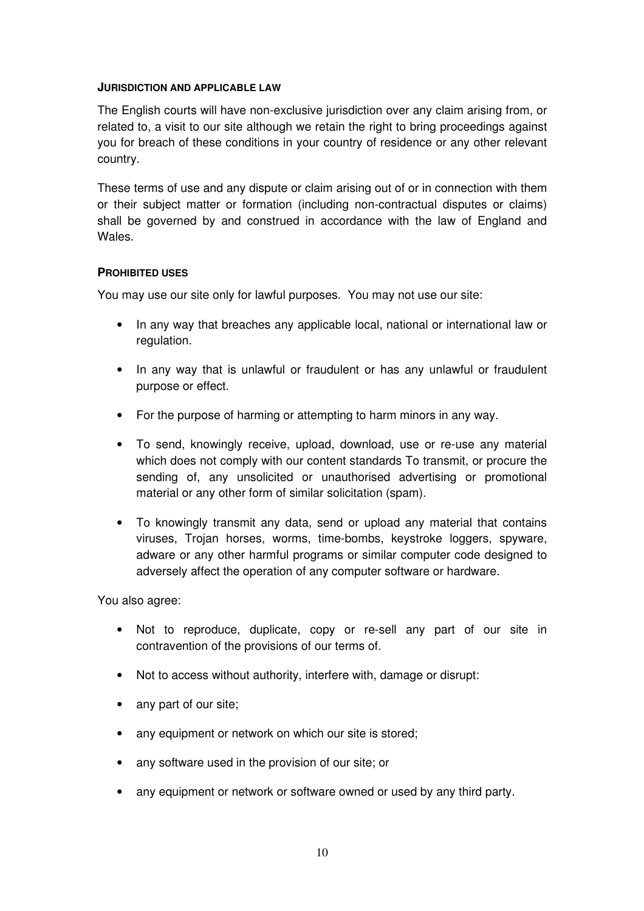### **JURISDICTION AND APPLICABLE LAW**

The English courts will have non-exclusive jurisdiction over any claim arising from, or related to, a visit to our site although we retain the right to bring proceedings against you for breach of these conditions in your country of residence or any other relevant country.

These terms of use and any dispute or claim arising out of or in connection with them or their subject matter or formation (including non-contractual disputes or claims) shall be governed by and construed in accordance with the law of England and Wales.

# **PROHIBITED USES**

You may use our site only for lawful purposes. You may not use our site:

- In any way that breaches any applicable local, national or international law or regulation.
- In any way that is unlawful or fraudulent or has any unlawful or fraudulent purpose or effect.
- For the purpose of harming or attempting to harm minors in any way.
- To send, knowingly receive, upload, download, use or re-use any material which does not comply with our content standards To transmit, or procure the sending of, any unsolicited or unauthorised advertising or promotional material or any other form of similar solicitation (spam).
- To knowingly transmit any data, send or upload any material that contains viruses, Trojan horses, worms, time-bombs, keystroke loggers, spyware, adware or any other harmful programs or similar computer code designed to adversely affect the operation of any computer software or hardware.

You also agree:

- Not to reproduce, duplicate, copy or re-sell any part of our site in contravention of the provisions of our terms of.
- Not to access without authority, interfere with, damage or disrupt:
- any part of our site;
- any equipment or network on which our site is stored;
- any software used in the provision of our site; or
- any equipment or network or software owned or used by any third party.